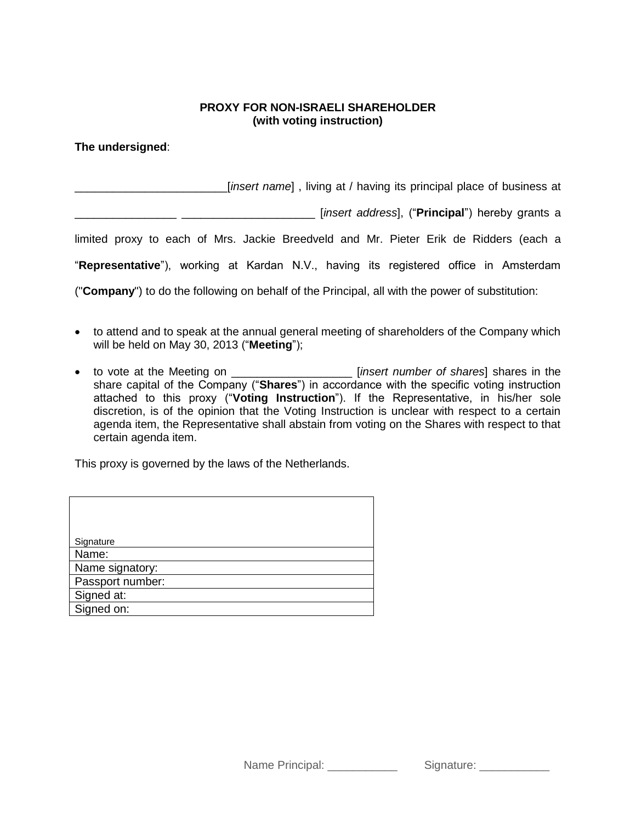## **PROXY FOR NON-ISRAELI SHAREHOLDER (with voting instruction)**

**The undersigned**:

\_\_\_\_\_\_\_\_\_\_\_\_\_\_\_\_\_\_\_\_\_\_\_\_[*insert name*] , living at / having its principal place of business at

\_\_\_\_\_\_\_\_\_\_\_\_\_\_\_\_ \_\_\_\_\_\_\_\_\_\_\_\_\_\_\_\_\_\_\_\_\_ [*insert address*], ("**Principal**") hereby grants a

limited proxy to each of Mrs. Jackie Breedveld and Mr. Pieter Erik de Ridders (each a

"**Representative**"), working at Kardan N.V., having its registered office in Amsterdam

("**Company**") to do the following on behalf of the Principal, all with the power of substitution:

- to attend and to speak at the annual general meeting of shareholders of the Company which will be held on May 30, 2013 ("**Meeting**");
- to vote at the Meeting on **example in the intervalsion** [*insert number of shares*] shares in the share capital of the Company ("**Shares**") in accordance with the specific voting instruction attached to this proxy ("**Voting Instruction**"). If the Representative, in his/her sole discretion, is of the opinion that the Voting Instruction is unclear with respect to a certain agenda item, the Representative shall abstain from voting on the Shares with respect to that certain agenda item.

This proxy is governed by the laws of the Netherlands.

| Signature        |
|------------------|
| Name:            |
| Name signatory:  |
| Passport number: |
| Signed at:       |
| Signed on:       |

Name Principal: \_\_\_\_\_\_\_\_\_\_\_\_\_\_ Signature: \_\_\_\_\_\_\_\_\_\_\_